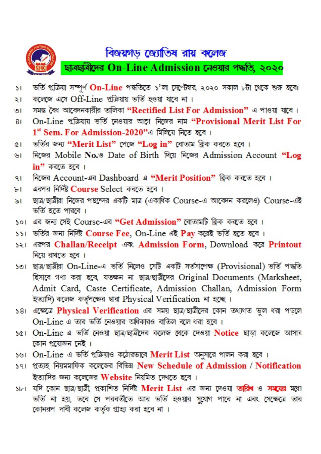

## বিজয়গড় জ্যোতিষ রায় কলেজ

ছাত্ৰছাত্ৰীদেৱ On-Line Admission নেওয়ার পদ্ধতি, ২০২০

- ভৰ্তি প্ৰক্ৰিয়া সম্পূৰ্ণ On-Line পদ্ধতিতে s'লা সেপ্টেম্বর, ২০২০ সকাল ৮টা থেকে শুরু হবে৷  $\overline{\mathbf{S}}$
- কলেজে এসে Off-Line প্রক্রিয়ায় ভর্তি হওয়া যাবে না।  $\geq 1$
- সমস্ত কৈ আবেদনকারীর তালিকা "Rectified List For Admission" এ পাওয়া যাবে। তা
- On-Line প্ৰক্ৰিয়ায় ভৰ্তি নেওয়ার আগে নিজের নাম "Provisional Merit List For  $81$  $1<sup>st</sup>$  Sem. For Admission-2020"এ মিলিয়ে নিতে হবে।
- ভৰ্তির জন্য "Merit List" পেজে "Log in" বোতাম ক্লিক করতে হবে।  $\overline{a}$
- निक्ला Mobile No. 9 Date of Birth मिस निक्ला Admission Account "Log  $\mathbf{v}$  $in$ " করতে হবে।
- নিজের Account-এর Dashboard এ "Merit Position" ক্লিক করতে হবে।  $91$
- এরপর নির্দিষ্ট Course Select করতে হবে। Ы
- ছাত্র/ছাত্রীরা নিজের পছন্দের একটি মাত্র (একাধিক Course-এ আবেদন করলেও) Course-এই  $\delta$ ভৰ্তি হতে পাৱবে ।
- ১০। এর জন্য সেই Course-এর "Get Admission" বোতামটি ক্লিক করতে হবে।
- ১১। ভৰ্তির জন্য নির্দিষ্ট Course Fee, On-Line এই Pay করেই ভর্তি হতে হবে।
- ১২। এরপর Challan/Receipt এবং Admission Form, Download করে Printout নিয়ে রাখতে হবে ।
- so। ছাত্ৰ/ছাত্ৰীয়া On-Line-এ ভৰ্তি নিলেও সেটি একটি সৰ্তসাপেক্ষ (Provisional) ভৰ্তি পদ্ধতি হিসাবে গণ্য করা হবে, যতক্ষন না ছাত্র/ছাত্রীদের Original Documents (Marksheet, Admit Card, Caste Certificate, Admission Challan, Admission Form ইত্যাদি) কলেজ কর্তৃপক্ষের দ্বারা Physical Verification না হচ্ছে।
- ১৪। এক্সেতে Physical Verification এর সময় ছাত ছাত্রীদের কোন তথ্যাত ভুল ধরা পড়লে On-Line এ তার ভর্তি নেওয়ার অধিকারও বাতিল বলে ধরা হবে।
- se। On-Line এ ভৰ্তি নেওয়া ছাত্ৰ/ছাত্ৰীদের কলেজ থেকে দেওয়া Notice ছাড়া কলেজে আসার কোন প্ৰয়োজন নেই ।
- ১৬। On-Line এ ভর্তি প্রক্রিয়াও কঠোরভাবে Merit List অনুসারে পালন করা হবে।
- 591 প্ৰত্যহ নিয়মমাফিক কলেজের বিভিন New Schedule of Admission / Notification ইত্যাদির জন্য কলেজের Website নিয়মিত দেখতে হবে।
- ১৮। যদি কোন ছাত্র/ছাত্রী প্রকাশিত নির্দিষ্ট Merit List এর জন্য দেওয়া তারিব ও সময়ের মধ্যে ভৰ্তি না হয়, তবে সে পরবর্তীতে আর ভর্তি হওয়ার সুযোগ পাবে না এবং সেক্ষেত্রে তার কোনরপ দাবী কলেজ কর্তৃক গ্রাহ্য করা হবে না।